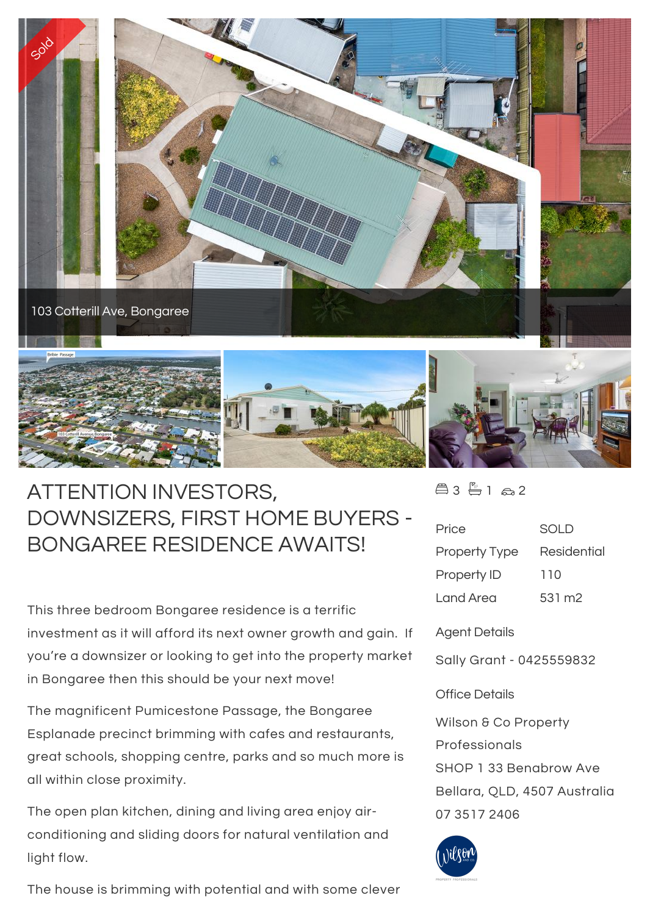

## ATTENTION INVESTORS, DOWNSIZERS, FIRST HOME BUYERS - BONGAREE RESIDENCE AWAITS!

This three bedroom Bongaree residence is a terrific investment as it will afford its next owner growth and gain. If you're a downsizer or looking to get into the property market in Bongaree then this should be your next move!

The magnificent Pumicestone Passage, the Bongaree Esplanade precinct brimming with cafes and restaurants, great schools, shopping centre, parks and so much more is all within close proximity.

The open plan kitchen, dining and living area enjoy airconditioning and sliding doors for natural ventilation and light flow.

The house is brimming with potential and with some clever

 $43 - 162$ 

| Price                | <b>SOLD</b> |
|----------------------|-------------|
| <b>Property Type</b> | Residential |
| Property ID          | 110         |
| I and Area           | 531 m2      |

Agent Details

Sally Grant - 0425559832

## Office Details

Wilson & Co Property Professionals SHOP 1 33 Benabrow Ave Bellara, QLD, 4507 Australia 07 3517 2406

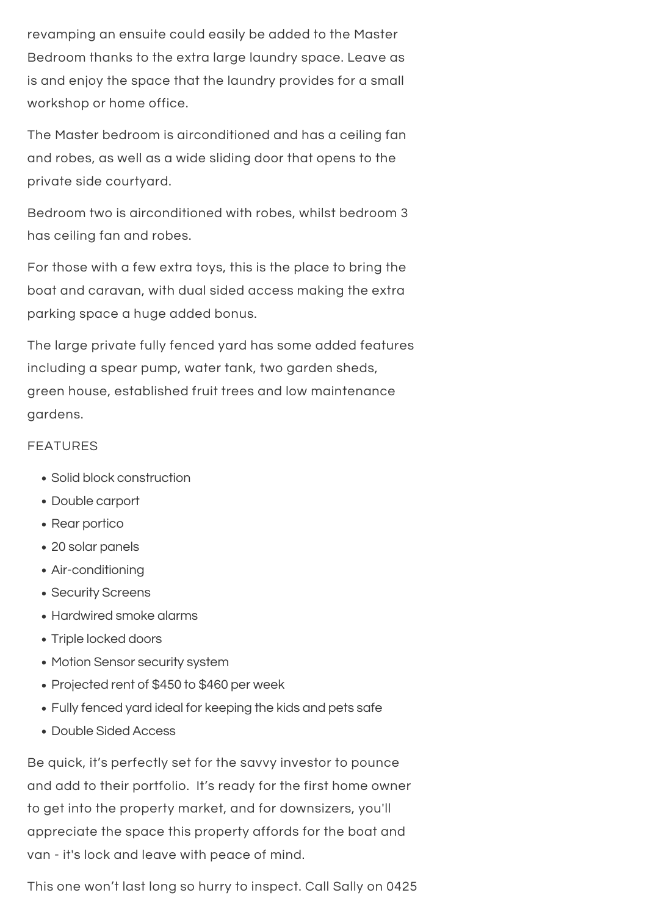revamping an ensuite could easily be added to the Master Bedroom thanks to the extra large laundry space. Leave as is and enjoy the space that the laundry provides for a small workshop or home office.

The house is brimming with potential and with some clever  $\mathcal{L}_\text{max}$ 

The Master bedroom is airconditioned and has a ceiling fan and robes, as well as a wide sliding door that opens to the private side courtyard.

Bedroom two is airconditioned with robes, whilst bedroom 3 has ceiling fan and robes.

For those with a few extra toys, this is the place to bring the boat and caravan, with dual sided access making the extra parking space a huge added bonus.

The large private fully fenced yard has some added features including a spear pump, water tank, two garden sheds, green house, established fruit trees and low maintenance gardens.

## FEATURES

- Solid block construction
- Double carport
- Rear portico
- 20 solar panels
- Air-conditioning
- Security Screens
- Hardwired smoke alarms
- Triple locked doors
- Motion Sensor security system
- Projected rent of \$450 to \$460 per week
- Fully fenced yard ideal for keeping the kids and pets safe
- Double Sided Access

Be quick, it's perfectly set for the savvy investor to pounce and add to their portfolio. It's ready for the first home owner to get into the property market, and for downsizers, you'll appreciate the space this property affords for the boat and van - it's lock and leave with peace of mind.

This one won't last long so hurry to inspect. Call Sally on 0425